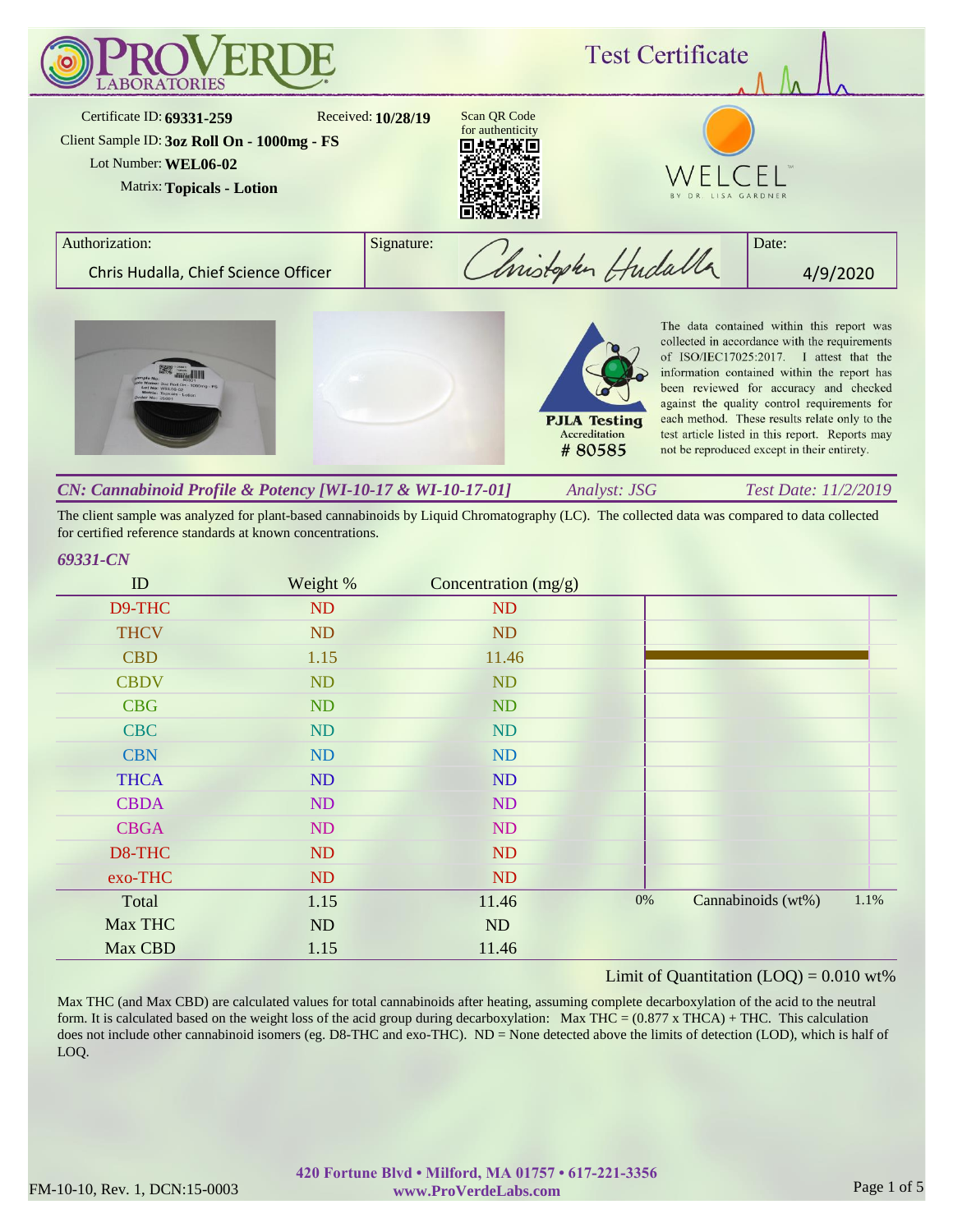

| CN: Cannabinoid Profile & Potency [WI-10-17 & WI-10-17-01] | Analyst: JSG | Test Date: 11/2/2019 |
|------------------------------------------------------------|--------------|----------------------|
|                                                            |              |                      |

The client sample was analyzed for plant-based cannabinoids by Liquid Chromatography (LC). The collected data was compared to data collected for certified reference standards at known concentrations.

# *69331-CN*

| ID          | Weight %  | Concentration $(mg/g)$ |       |                    |      |
|-------------|-----------|------------------------|-------|--------------------|------|
| D9-THC      | ND        | ND                     |       |                    |      |
| <b>THCV</b> | ND        | ND                     |       |                    |      |
| <b>CBD</b>  | 1.15      | 11.46                  |       |                    |      |
| <b>CBDV</b> | ND        | ND                     |       |                    |      |
| <b>CBG</b>  | ND        | ND                     |       |                    |      |
| <b>CBC</b>  | ND        | ND                     |       |                    |      |
| <b>CBN</b>  | ND        | ND                     |       |                    |      |
| <b>THCA</b> | ND        | ND                     |       |                    |      |
| <b>CBDA</b> | ND        | ND                     |       |                    |      |
| <b>CBGA</b> | ND        | ND                     |       |                    |      |
| D8-THC      | ND        | ND                     |       |                    |      |
| exo-THC     | <b>ND</b> | ND                     |       |                    |      |
| Total       | 1.15      | 11.46                  | $0\%$ | Cannabinoids (wt%) | 1.1% |
| Max THC     | ND        | ND                     |       |                    |      |
| Max CBD     | 1.15      | 11.46                  |       |                    |      |

#### Limit of Quantitation  $(LOO) = 0.010$  wt%

Max THC (and Max CBD) are calculated values for total cannabinoids after heating, assuming complete decarboxylation of the acid to the neutral form. It is calculated based on the weight loss of the acid group during decarboxylation: Max THC =  $(0.877 \times THCA) + THC$ . This calculation does not include other cannabinoid isomers (eg. D8-THC and exo-THC). ND = None detected above the limits of detection (LOD), which is half of LOQ.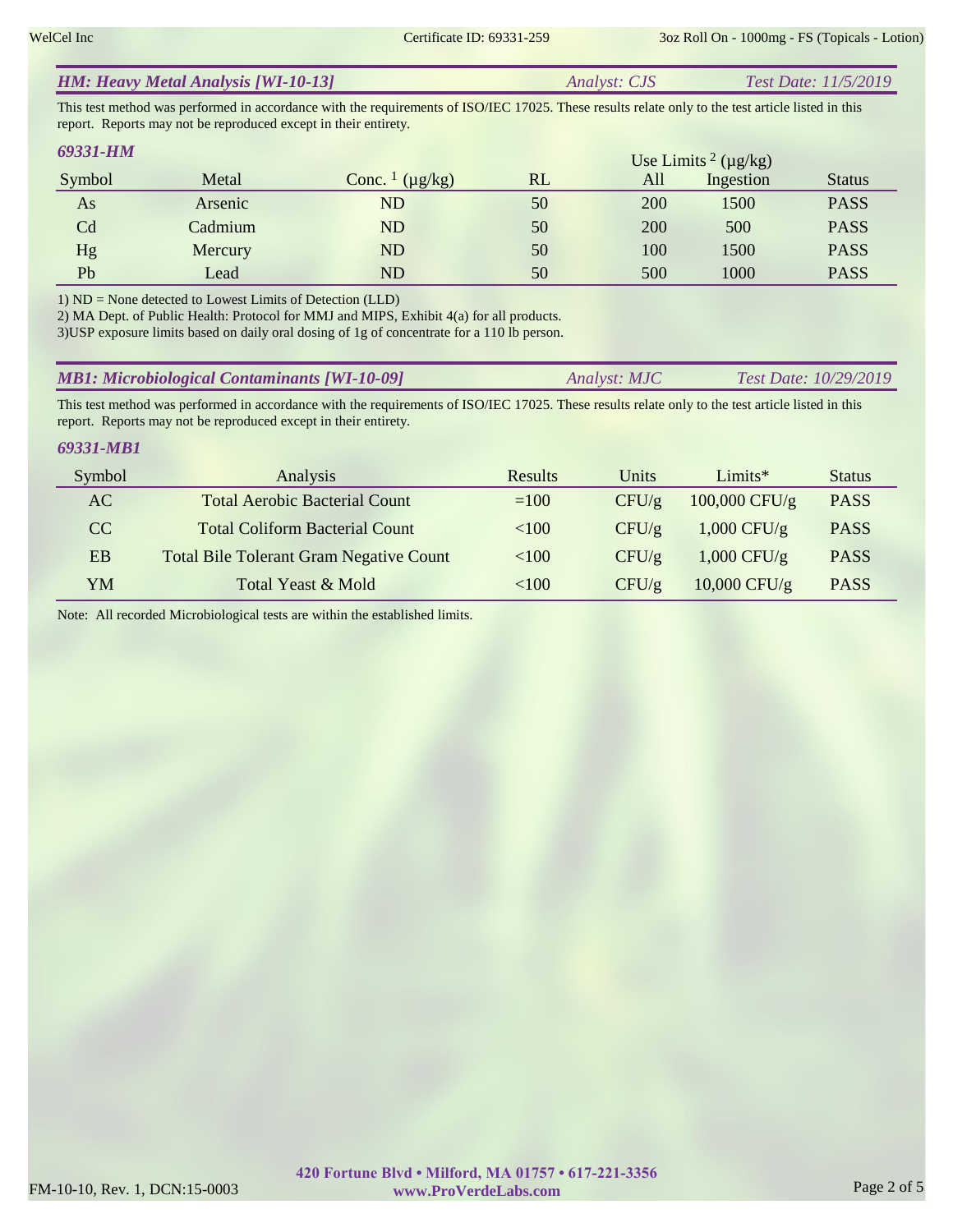|  | <b>HM: Heavy Metal Analysis [WI-10-13]</b> | <i>Analyst: CJS</i> | <i>Test Date: 11/5/2019</i> |  |
|--|--------------------------------------------|---------------------|-----------------------------|--|
|--|--------------------------------------------|---------------------|-----------------------------|--|

This test method was performed in accordance with the requirements of ISO/IEC 17025. These results relate only to the test article listed in this report. Reports may not be reproduced except in their entirety.

| 69331-HM |         |                                     |    |            | Use Limits <sup>2</sup> ( $\mu$ g/kg) |               |
|----------|---------|-------------------------------------|----|------------|---------------------------------------|---------------|
| Symbol   | Metal   | Conc. $\frac{1}{\mu}$ ( $\mu$ g/kg) | RL | All        | Ingestion                             | <b>Status</b> |
| As       | Arsenic | ${\rm ND}$                          | 50 | <b>200</b> | 1500                                  | <b>PASS</b>   |
| Cd       | Cadmium | ${\rm ND}$                          | 50 | 200        | 500                                   | <b>PASS</b>   |
| Hg       | Mercury | ND                                  | 50 | 100        | 1500                                  | <b>PASS</b>   |
| Pb       | Lead    | ${\rm ND}$                          | 50 | 500        | 1000                                  | <b>PASS</b>   |

1) ND = None detected to Lowest Limits of Detection (LLD)

2) MA Dept. of Public Health: Protocol for MMJ and MIPS, Exhibit 4(a) for all products.

3)USP exposure limits based on daily oral dosing of 1g of concentrate for a 110 lb person.

| <b>MB1: Microbiological Contaminants [WI-10-09]</b> | Analyst: MJC | <i>Test Date: 10/29/2019</i> |
|-----------------------------------------------------|--------------|------------------------------|
|-----------------------------------------------------|--------------|------------------------------|

This test method was performed in accordance with the requirements of ISO/IEC 17025. These results relate only to the test article listed in this report. Reports may not be reproduced except in their entirety.

#### *69331-MB1*

| Symbol    | Analysis                                       | <b>Results</b> | Units | $Limits*$       | <b>Status</b> |
|-----------|------------------------------------------------|----------------|-------|-----------------|---------------|
| AC        | <b>Total Aerobic Bacterial Count</b>           | $=100$         | CFU/g | $100,000$ CFU/g | <b>PASS</b>   |
| CC        | <b>Total Coliform Bacterial Count</b>          | < 100          | CFU/g | $1,000$ CFU/g   | <b>PASS</b>   |
| <b>EB</b> | <b>Total Bile Tolerant Gram Negative Count</b> | < 100          | CFU/g | $1,000$ CFU/g   | <b>PASS</b>   |
| YM        | Total Yeast & Mold                             | ${<}100$       | CFU/g | $10,000$ CFU/g  | <b>PASS</b>   |

Note: All recorded Microbiological tests are within the established limits.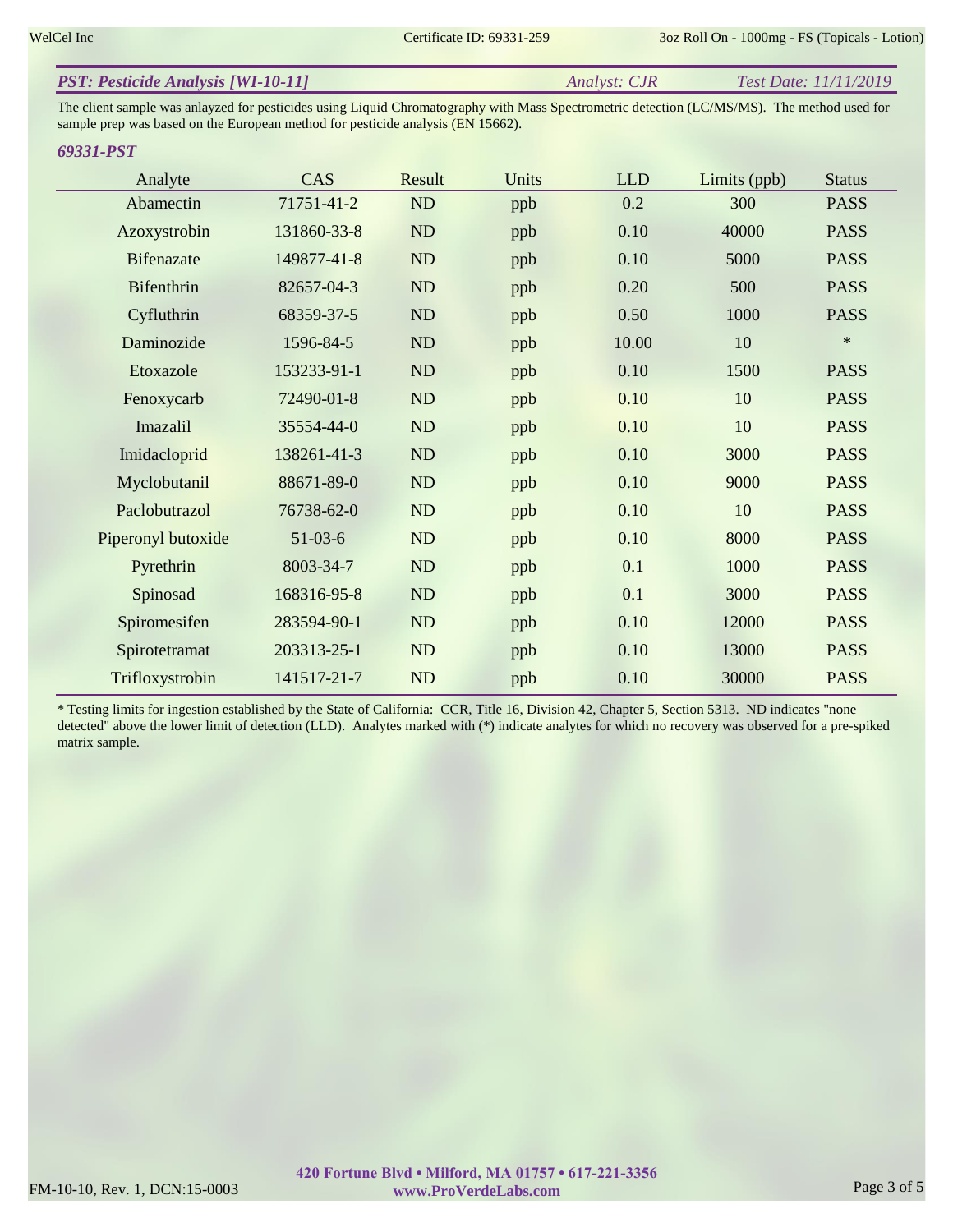| <b>PST: Pesticide Analysis [WI-10-11]</b> | Analyst: CJR | <i>Test Date: 11/11/2019</i> |
|-------------------------------------------|--------------|------------------------------|
|                                           |              |                              |

The client sample was anlayzed for pesticides using Liquid Chromatography with Mass Spectrometric detection (LC/MS/MS). The method used for sample prep was based on the European method for pesticide analysis (EN 15662).

### *69331-PST*

| Analyte            | CAS         | Result | Units | <b>LLD</b> | Limits (ppb) | <b>Status</b> |
|--------------------|-------------|--------|-------|------------|--------------|---------------|
| Abamectin          | 71751-41-2  | ND     | ppb   | 0.2        | 300          | <b>PASS</b>   |
| Azoxystrobin       | 131860-33-8 | ND     | ppb   | 0.10       | 40000        | <b>PASS</b>   |
| <b>Bifenazate</b>  | 149877-41-8 | ND     | ppb   | 0.10       | 5000         | <b>PASS</b>   |
| <b>Bifenthrin</b>  | 82657-04-3  | ND     | ppb   | 0.20       | 500          | <b>PASS</b>   |
| Cyfluthrin         | 68359-37-5  | ND     | ppb   | 0.50       | 1000         | <b>PASS</b>   |
| Daminozide         | 1596-84-5   | ND     | ppb   | 10.00      | 10           | $\ast$        |
| Etoxazole          | 153233-91-1 | ND     | ppb   | 0.10       | 1500         | <b>PASS</b>   |
| Fenoxycarb         | 72490-01-8  | ND     | ppb   | 0.10       | 10           | <b>PASS</b>   |
| Imazalil           | 35554-44-0  | ND     | ppb   | 0.10       | 10           | <b>PASS</b>   |
| Imidacloprid       | 138261-41-3 | ND     | ppb   | 0.10       | 3000         | <b>PASS</b>   |
| Myclobutanil       | 88671-89-0  | ND     | ppb   | 0.10       | 9000         | <b>PASS</b>   |
| Paclobutrazol      | 76738-62-0  | ND     | ppb   | 0.10       | 10           | <b>PASS</b>   |
| Piperonyl butoxide | $51-03-6$   | ND     | ppb   | 0.10       | 8000         | <b>PASS</b>   |
| Pyrethrin          | 8003-34-7   | ND     | ppb   | 0.1        | 1000         | <b>PASS</b>   |
| Spinosad           | 168316-95-8 | ND     | ppb   | 0.1        | 3000         | <b>PASS</b>   |
| Spiromesifen       | 283594-90-1 | ND     | ppb   | 0.10       | 12000        | <b>PASS</b>   |
| Spirotetramat      | 203313-25-1 | ND     | ppb   | 0.10       | 13000        | <b>PASS</b>   |
| Trifloxystrobin    | 141517-21-7 | ND     | ppb   | 0.10       | 30000        | <b>PASS</b>   |

\* Testing limits for ingestion established by the State of California: CCR, Title 16, Division 42, Chapter 5, Section 5313. ND indicates "none detected" above the lower limit of detection (LLD). Analytes marked with (\*) indicate analytes for which no recovery was observed for a pre-spiked matrix sample.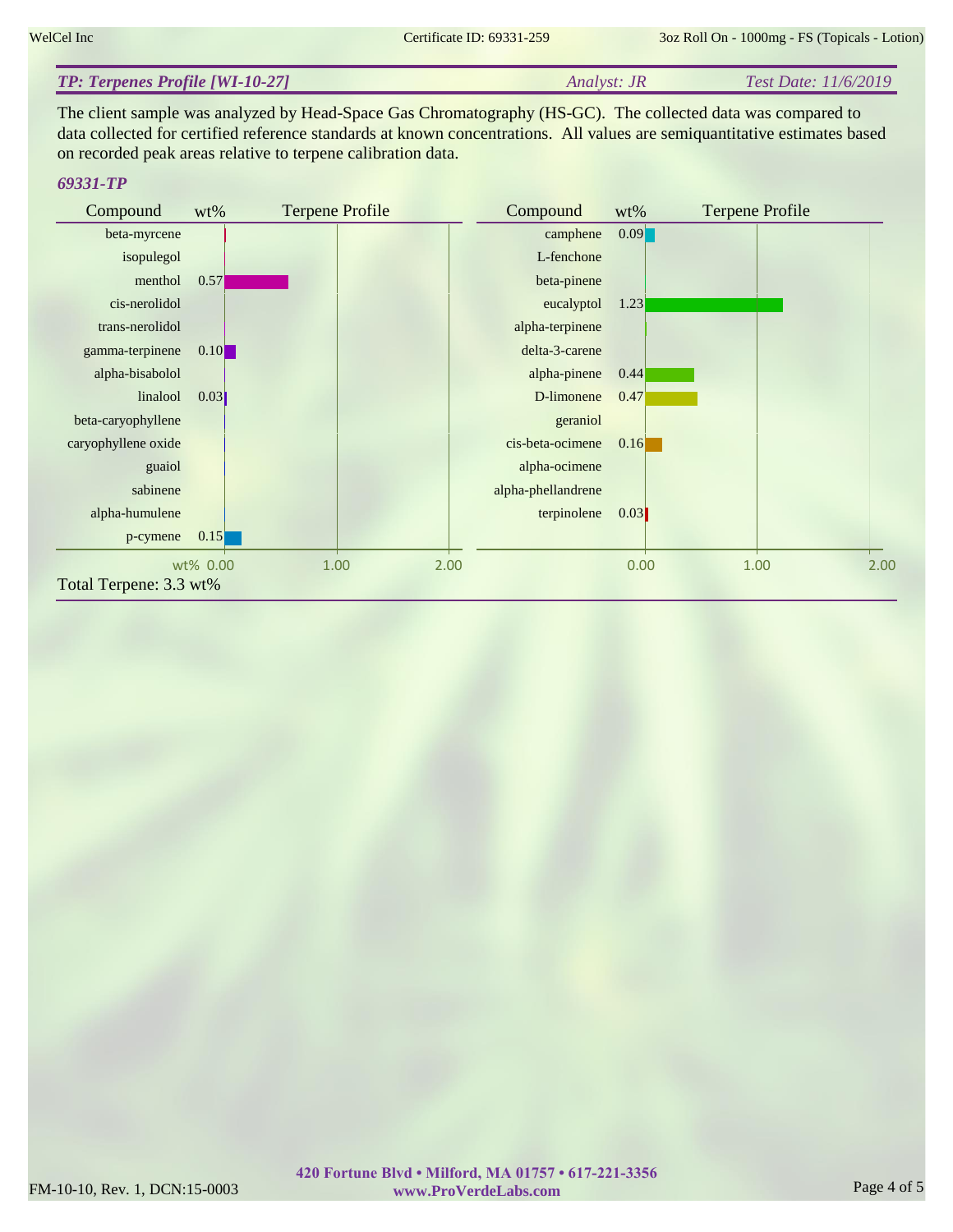#### *Analyst: JR Test Date: 11/6/2019 TP: Terpenes Profile [WI-10-27]*

The client sample was analyzed by Head-Space Gas Chromatography (HS-GC). The collected data was compared to data collected for certified reference standards at known concentrations. All values are semiquantitative estimates based on recorded peak areas relative to terpene calibration data.

## *69331-TP*